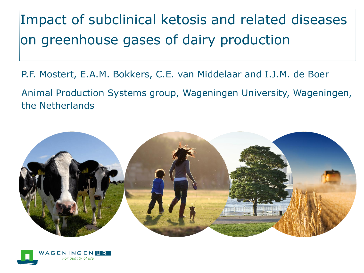Impact of subclinical ketosis and related diseases on greenhouse gases of dairy production

P.F. Mostert, E.A.M. Bokkers, C.E. van Middelaar and I.J.M. de Boer

Animal Production Systems group, Wageningen University, Wageningen, the Netherlands



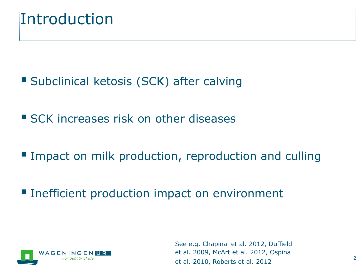### Introduction

- **Subclinical ketosis (SCK) after calving**
- **SCK increases risk on other diseases**
- **Impact on milk production, reproduction and culling**
- **Inefficient production impact on environment**



See e.g. Chapinal et al. 2012, Duffield et al. 2009, McArt et al. 2012, Ospina et al. 2010, Roberts et al. 2012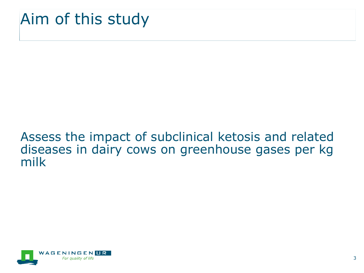## Aim of this study

#### Assess the impact of subclinical ketosis and related diseases in dairy cows on greenhouse gases per kg milk

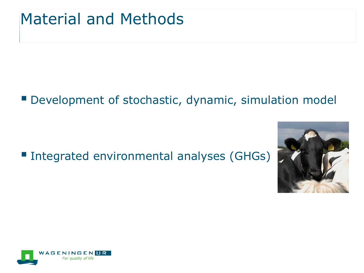### Material and Methods

#### Development of stochastic, dynamic, simulation model

#### ■ Integrated environmental analyses (GHGs)



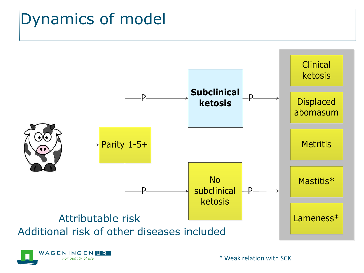## Dynamics of model





\* Weak relation with SCK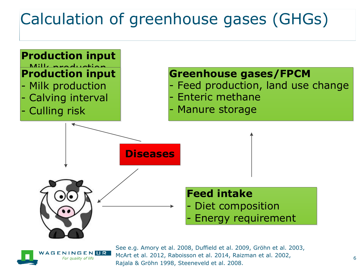# Calculation of greenhouse gases (GHGs)





See e.g. Amory et al. 2008, Duffield et al. 2009, Gröhn et al. 2003, McArt et al. 2012, Raboisson et al. 2014, Raizman et al. 2002, Rajala & Gröhn 1998, Steeneveld et al. 2008.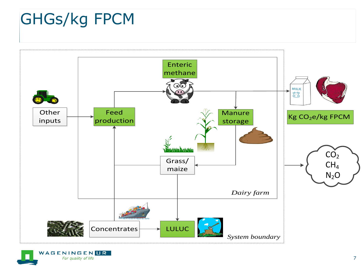# GHGs/kg FPCM



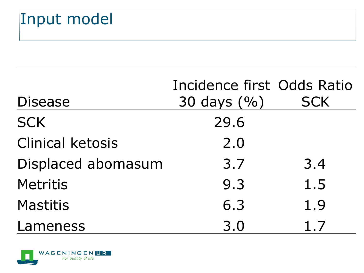# Input model

| <b>Disease</b>          | Incidence first Odds Ratio<br>30 days $(%)$ | <b>SCK</b> |
|-------------------------|---------------------------------------------|------------|
| <b>SCK</b>              | 29.6                                        |            |
| <b>Clinical ketosis</b> | 2.0                                         |            |
| Displaced abomasum      | 3.7                                         | 3.4        |
| <b>Metritis</b>         | 9.3                                         | 1.5        |
| <b>Mastitis</b>         | 6.3                                         | 1.9        |
| Lameness                | 3.0                                         | 1.7        |

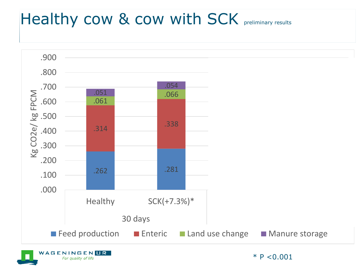# Healthy cow & cow with SCK preliminary results

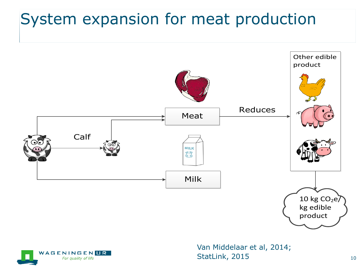# System expansion for meat production





Van Middelaar et al, 2014; StatLink, 2015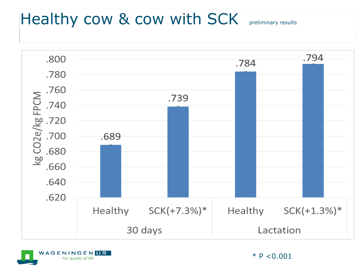# Healthy cow & cow with SCK preliminary results





 $*$  P < 0.001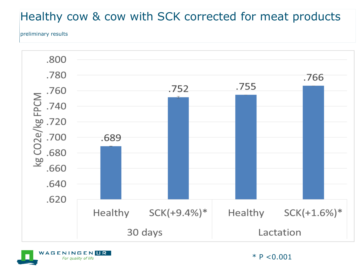#### Healthy cow & cow with SCK corrected for meat products

preliminary results





 $*$  P < 0.001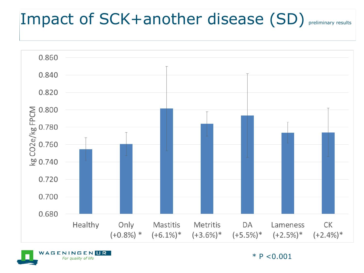## Impact of SCK+another disease (SD) preliminary results



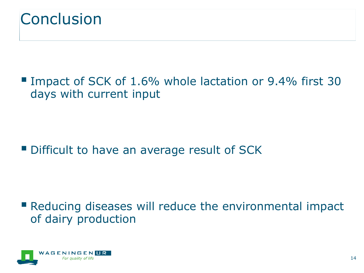

■ Impact of SCK of 1.6% whole lactation or 9.4% first 30 days with current input

Difficult to have an average result of SCK

 Reducing diseases will reduce the environmental impact of dairy production